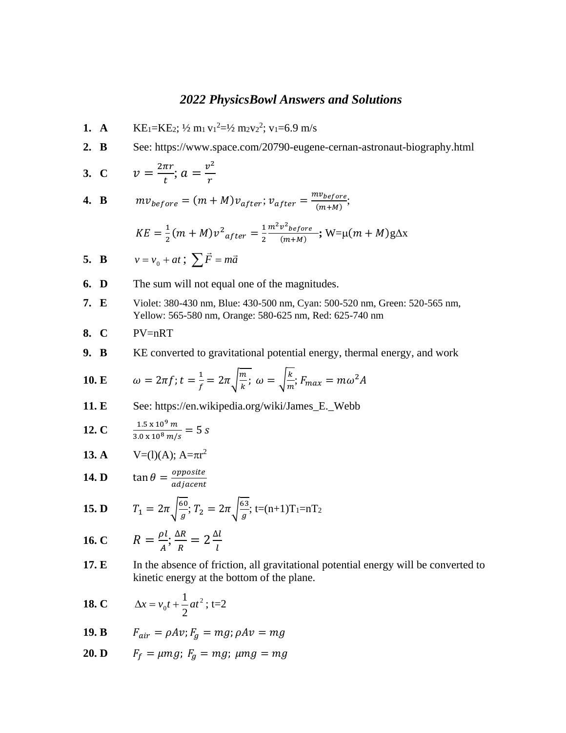## *2022 PhysicsBowl Answers and Solutions*

- **1. A**  $\text{KE}_1 = \text{KE}_2$ ;  $\frac{1}{2}$  m<sub>1</sub> v<sub>1</sub><sup>2</sup> $=$  $\frac{1}{2}$  m<sub>2</sub>v<sub>2</sub><sup>2</sup>; v<sub>1</sub> $=$ 6.9 m/s
- **2. B** See: https://www.space.com/20790-eugene-cernan-astronaut-biography.html

3. C 
$$
v = \frac{2\pi r}{t}
$$
;  $a = \frac{v^2}{r}$ 

**4. B**  $mv_{before} = (m + M)v_{after}; v_{after} = \frac{mv_{before}}{(m+M)!}$  $\frac{w_{before}}{(m+M)},$ 

$$
KE = \frac{1}{2}(m + M)v^{2}_{after} = \frac{1}{2} \frac{m^{2}v^{2}_{before}}{(m+M)}; W = \mu(m + M)g\Delta x
$$

5. **B** 
$$
v = v_0 + at
$$
;  $\sum \vec{F} = m\vec{a}$ 

- **6. D** The sum will not equal one of the magnitudes.
- **7. E** Violet: 380-430 nm, Blue: 430-500 nm, Cyan: 500-520 nm, Green: 520-565 nm, Yellow: 565-580 nm, Orange: 580-625 nm, Red: 625-740 nm

8. 
$$
C
$$
  $PV=nRT$ 

**9. B** KE converted to gravitational potential energy, thermal energy, and work

**10. E** 
$$
\omega = 2\pi f; t = \frac{1}{f} = 2\pi \sqrt{\frac{m}{k}}; \omega = \sqrt{\frac{k}{m}}; F_{max} = m\omega^2 A
$$

**11. E** See: https://en.wikipedia.org/wiki/James\_E.\_Webb

**12. C** 
$$
\frac{1.5 \times 10^9 \, m}{3.0 \times 10^8 \, m/s} = 5 \, s
$$

**13. A** 
$$
V=(l)(A); A=\pi r^2
$$

**14. D** 
$$
\tan \theta = \frac{opposite}{adjacent}
$$

**15. D** 
$$
T_1 = 2\pi \sqrt{\frac{60}{g}}; T_2 = 2\pi \sqrt{\frac{63}{g}}; t = (n+1)T_1 = nT_2
$$

**16. C** 
$$
R = \frac{\rho l}{A}; \frac{\Delta R}{R} = 2 \frac{\Delta l}{l}
$$

**17. E** In the absence of friction, all gravitational potential energy will be converted to kinetic energy at the bottom of the plane.

**18. C** 
$$
\Delta x = v_0 t + \frac{1}{2} a t^2
$$
; t=2

**19. B** 
$$
F_{air} = \rho Av; F_g = mg; \rho Av = mg
$$

$$
20. \mathbf{D} \qquad F_f = \mu mg; \ F_g = mg; \ \mu mg = mg
$$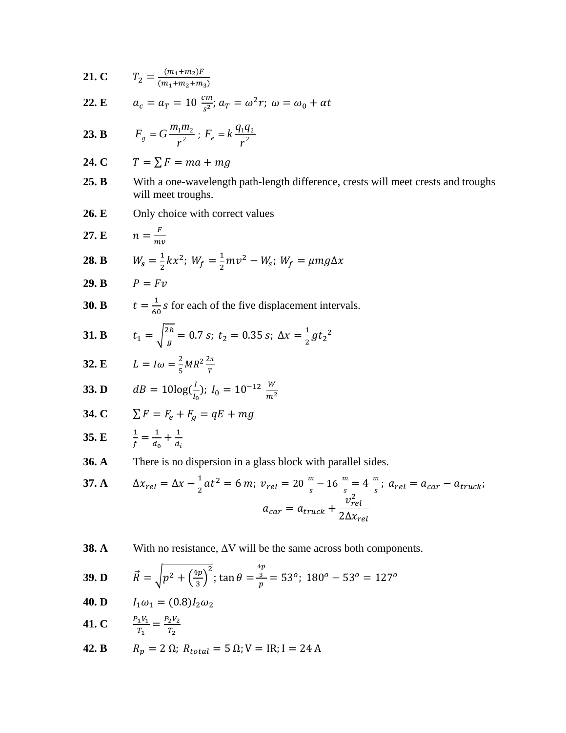**21. C** 
$$
T_2 = \frac{(m_1 + m_2)F}{(m_1 + m_2 + m_3)}
$$

**22.** E 
$$
a_c = a_T = 10 \frac{cm}{s^2}
$$
;  $a_T = \omega^2 r$ ;  $\omega = \omega_0 + \alpha t$ 

**23. B** 
$$
F_g = G \frac{m_1 m_2}{r^2}; F_e = k \frac{q_1 q_2}{r^2}
$$

$$
24. C \t T = \sum F = ma + mg
$$

- **25. B** With a one-wavelength path-length difference, crests will meet crests and troughs will meet troughs.
- **26. E** Only choice with correct values

$$
27. \mathbf{E} \qquad n = \frac{F}{mv}
$$

**28. B** 
$$
W_s = \frac{1}{2}kx^2
$$
;  $W_f = \frac{1}{2}mv^2 - W_s$ ;  $W_f = \mu mg\Delta x$ 

$$
29. \mathbf{B} \qquad P = Fv
$$

**30. B** 
$$
t = \frac{1}{60} s
$$
 for each of the five displacement intervals.

**31. B** 
$$
t_1 = \sqrt{\frac{2h}{g}} = 0.7 \text{ s}; t_2 = 0.35 \text{ s}; \Delta x = \frac{1}{2}gt_2^2
$$

**32. E** 
$$
L = I\omega = \frac{2}{5}MR^2 \frac{2\pi}{T}
$$

**33. D** 
$$
dB = 10\log(\frac{l}{l_0}); I_0 = 10^{-12} \frac{W}{m^2}
$$

$$
34. C \qquad \Sigma F = F_e + F_g = qE + mg
$$

**35. E** 
$$
\frac{1}{f} = \frac{1}{d_0} + \frac{1}{d_i}
$$

**36. A** There is no dispersion in a glass block with parallel sides.

37. A 
$$
\Delta x_{rel} = \Delta x - \frac{1}{2}at^2 = 6 \, m; \ v_{rel} = 20 \, \frac{m}{s} - 16 \, \frac{m}{s} = 4 \, \frac{m}{s}; \ a_{rel} = a_{car} - a_{truck};
$$

$$
a_{car} = a_{truck} + \frac{v_{rel}^2}{2\Delta x_{rel}}
$$

**38. A** With no resistance,  $\Delta V$  will be the same across both components.

**39. D** 
$$
\vec{R} = \sqrt{p^2 + \left(\frac{4p}{3}\right)^2}
$$
;  $\tan \theta = \frac{\frac{4p}{3}}{p} = 53^\circ$ ;  $180^\circ - 53^\circ = 127^\circ$ 

$$
40. \mathbf{D} \qquad I_1 \omega_1 = (0.8) I_2 \omega_2
$$

 $T_2$ 

**41. C** 
$$
\frac{P_1 V_1}{T_1} = \frac{P_2 V_2}{T_2}
$$

**42. B** 
$$
R_p = 2 \Omega
$$
;  $R_{total} = 5 \Omega$ ;  $V = IR$ ;  $I = 24 A$